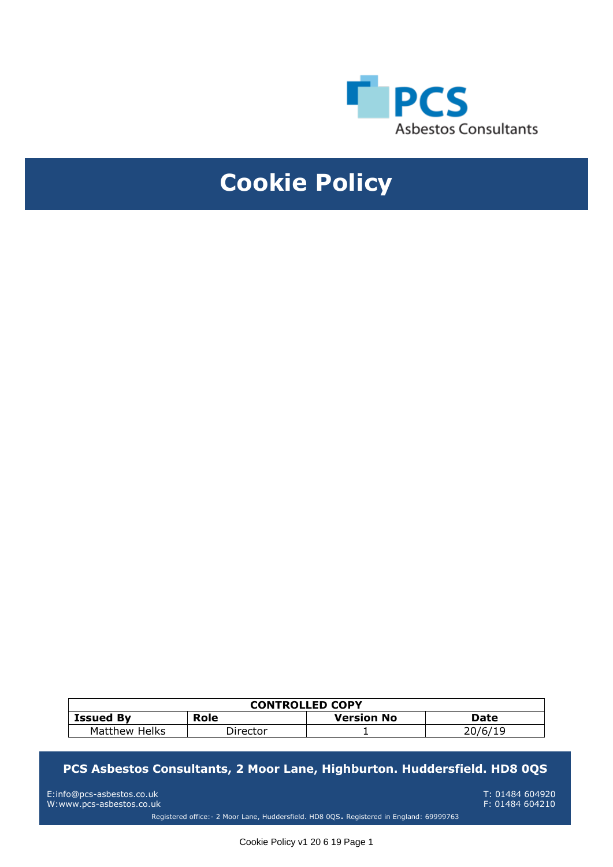

## **Cookie Policy**

| <b>CONTROLLED COPY</b> |          |                   |             |  |  |
|------------------------|----------|-------------------|-------------|--|--|
| <b>Issued By</b>       | Role     | <b>Version No</b> | <b>Date</b> |  |  |
| Matthew Helks          | Director |                   | 20/6/19     |  |  |

## **MNUAL PCS Asbestos Consultants, 2 Moor Lane, Highburton. Huddersfield. HD8 0QS**

E:info@pcs-asbestos.co.uk T: 01484 604920 W:www.pcs-asbestos.co.uk Registered office:- 2 Moor Lane, Huddersfield. HD8 0QS. Registered in England: 69999763

Cookie Policy v1 20 6 19 Page 1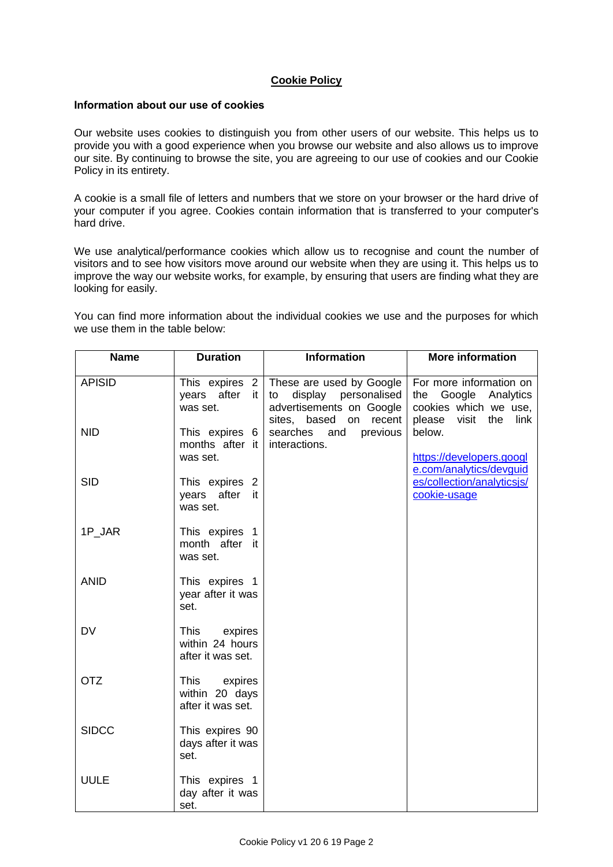## **Cookie Policy**

## **Information about our use of cookies**

Our website uses cookies to distinguish you from other users of our website. This helps us to provide you with a good experience when you browse our website and also allows us to improve our site. By continuing to browse the site, you are agreeing to our use of cookies and our Cookie Policy in its entirety.

A cookie is a small file of letters and numbers that we store on your browser or the hard drive of your computer if you agree. Cookies contain information that is transferred to your computer's hard drive.

We use analytical/performance cookies which allow us to recognise and count the number of visitors and to see how visitors move around our website when they are using it. This helps us to improve the way our website works, for example, by ensuring that users are finding what they are looking for easily.

You can find more information about the individual cookies we use and the purposes for which we use them in the table below:

| <b>Name</b>   | <b>Duration</b>                                               | <b>Information</b>                                                                                                                       | <b>More information</b>                                                                                          |
|---------------|---------------------------------------------------------------|------------------------------------------------------------------------------------------------------------------------------------------|------------------------------------------------------------------------------------------------------------------|
| <b>APISID</b> | years after<br>it I<br>was set.                               | This expires $2 \mid$ These are used by Google<br>display personalised<br>to<br>advertisements on Google<br>recent<br>sites, based<br>on | For more information on<br>Google<br>Analytics<br>the<br>cookies which we use,<br>visit<br>please<br>the<br>link |
| <b>NID</b>    | This expires 6<br>months after it<br>was set.                 | previous<br>searches<br>and<br>interactions.                                                                                             | below.<br>https://developers.googl<br>e.com/analytics/devguid                                                    |
| <b>SID</b>    | This expires 2<br>after<br>years<br>it<br>was set.            |                                                                                                                                          | es/collection/analyticsjs/<br>cookie-usage                                                                       |
| 1P_JAR        | This expires 1<br>month after it<br>was set.                  |                                                                                                                                          |                                                                                                                  |
| <b>ANID</b>   | This expires 1<br>year after it was<br>set.                   |                                                                                                                                          |                                                                                                                  |
| <b>DV</b>     | This<br>expires<br>within 24 hours<br>after it was set.       |                                                                                                                                          |                                                                                                                  |
| <b>OTZ</b>    | <b>This</b><br>expires<br>within 20 days<br>after it was set. |                                                                                                                                          |                                                                                                                  |
| <b>SIDCC</b>  | This expires 90<br>days after it was<br>set.                  |                                                                                                                                          |                                                                                                                  |
| <b>UULE</b>   | This expires 1<br>day after it was<br>set.                    |                                                                                                                                          |                                                                                                                  |